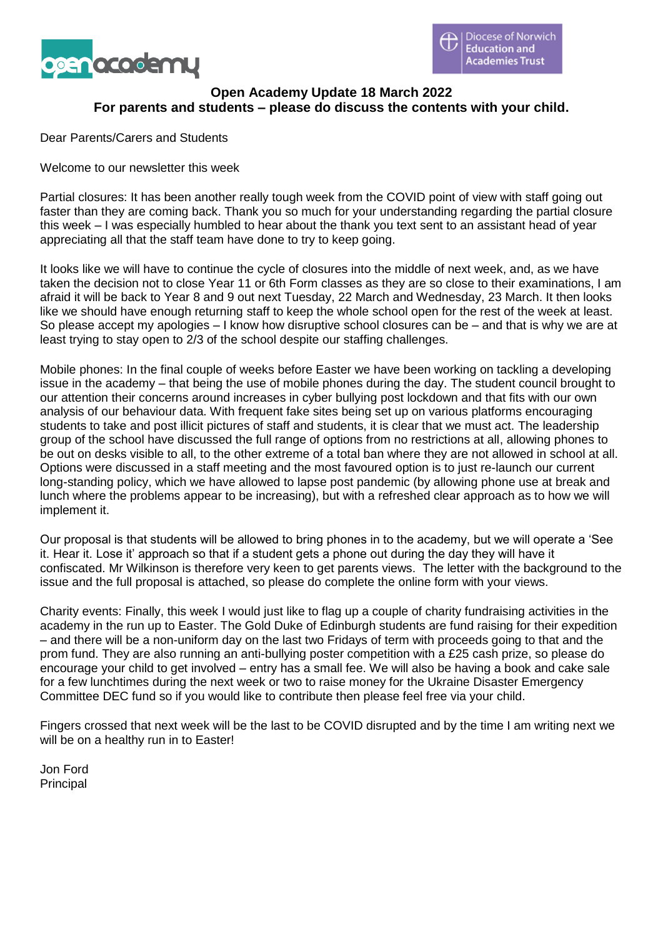



# **Open Academy Update 18 March 2022 For parents and students – please do discuss the contents with your child.**

Dear Parents/Carers and Students

Welcome to our newsletter this week

Partial closures: It has been another really tough week from the COVID point of view with staff going out faster than they are coming back. Thank you so much for your understanding regarding the partial closure this week – I was especially humbled to hear about the thank you text sent to an assistant head of year appreciating all that the staff team have done to try to keep going.

It looks like we will have to continue the cycle of closures into the middle of next week, and, as we have taken the decision not to close Year 11 or 6th Form classes as they are so close to their examinations, I am afraid it will be back to Year 8 and 9 out next Tuesday, 22 March and Wednesday, 23 March. It then looks like we should have enough returning staff to keep the whole school open for the rest of the week at least. So please accept my apologies – I know how disruptive school closures can be – and that is why we are at least trying to stay open to 2/3 of the school despite our staffing challenges.

Mobile phones: In the final couple of weeks before Easter we have been working on tackling a developing issue in the academy – that being the use of mobile phones during the day. The student council brought to our attention their concerns around increases in cyber bullying post lockdown and that fits with our own analysis of our behaviour data. With frequent fake sites being set up on various platforms encouraging students to take and post illicit pictures of staff and students, it is clear that we must act. The leadership group of the school have discussed the full range of options from no restrictions at all, allowing phones to be out on desks visible to all, to the other extreme of a total ban where they are not allowed in school at all. Options were discussed in a staff meeting and the most favoured option is to just re-launch our current long-standing policy, which we have allowed to lapse post pandemic (by allowing phone use at break and lunch where the problems appear to be increasing), but with a refreshed clear approach as to how we will implement it.

Our proposal is that students will be allowed to bring phones in to the academy, but we will operate a 'See it. Hear it. Lose it' approach so that if a student gets a phone out during the day they will have it confiscated. Mr Wilkinson is therefore very keen to get parents views. The letter with the background to the issue and the full proposal is attached, so please do complete the online form with your views.

Charity events: Finally, this week I would just like to flag up a couple of charity fundraising activities in the academy in the run up to Easter. The Gold Duke of Edinburgh students are fund raising for their expedition – and there will be a non-uniform day on the last two Fridays of term with proceeds going to that and the prom fund. They are also running an anti-bullying poster competition with a £25 cash prize, so please do encourage your child to get involved – entry has a small fee. We will also be having a book and cake sale for a few lunchtimes during the next week or two to raise money for the Ukraine Disaster Emergency Committee DEC fund so if you would like to contribute then please feel free via your child.

Fingers crossed that next week will be the last to be COVID disrupted and by the time I am writing next we will be on a healthy run in to Easter!

Jon Ford **Principal**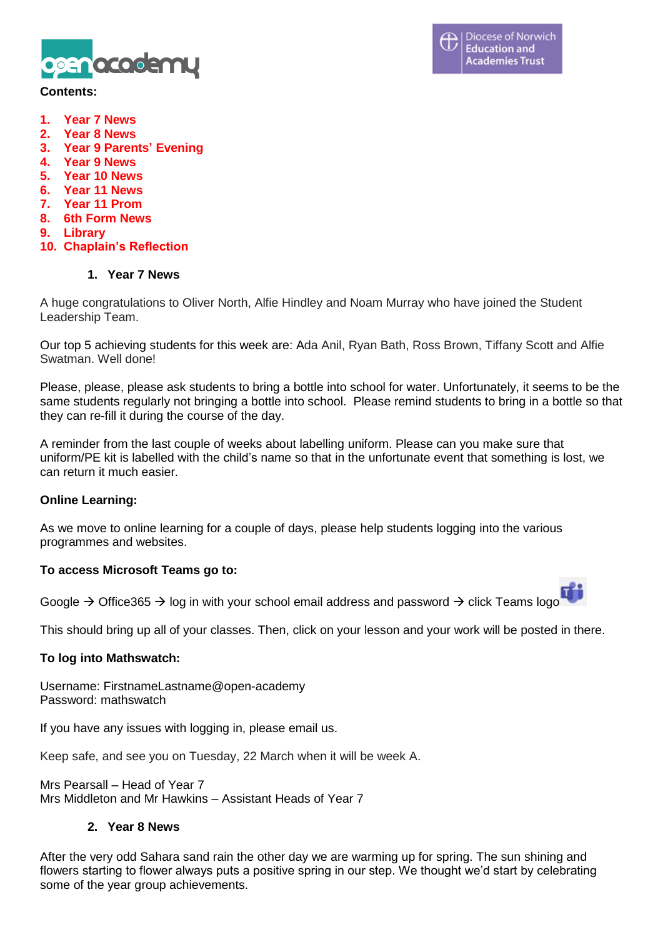

#### **Contents:**

- **1. Year 7 News**
- **2. Year 8 News**
- **3. Year 9 Parents' Evening**
- **4. Year 9 News**
- **5. Year 10 News**
- **6. Year 11 News**
- **7. Year 11 Prom**
- **8. 6th Form News**
- **9. Library**
- **10. Chaplain's Reflection**

#### **1. Year 7 News**

A huge congratulations to Oliver North, Alfie Hindley and Noam Murray who have joined the Student Leadership Team.

Our top 5 achieving students for this week are: Ada Anil, Ryan Bath, Ross Brown, Tiffany Scott and Alfie Swatman. Well done!

Please, please, please ask students to bring a bottle into school for water. Unfortunately, it seems to be the same students regularly not bringing a bottle into school. Please remind students to bring in a bottle so that they can re-fill it during the course of the day.

A reminder from the last couple of weeks about labelling uniform. Please can you make sure that uniform/PE kit is labelled with the child's name so that in the unfortunate event that something is lost, we can return it much easier.

### **Online Learning:**

As we move to online learning for a couple of days, please help students logging into the various programmes and websites.

#### **To access Microsoft Teams go to:**

Google → Office365 → log in with your school email address and password → click Teams logo

This should bring up all of your classes. Then, click on your lesson and your work will be posted in there.

#### **To log into Mathswatch:**

Username: FirstnameLastname@open-academy Password: mathswatch

If you have any issues with logging in, please email us.

Keep safe, and see you on Tuesday, 22 March when it will be week A.

Mrs Pearsall – Head of Year 7 Mrs Middleton and Mr Hawkins – Assistant Heads of Year 7

#### **2. Year 8 News**

After the very odd Sahara sand rain the other day we are warming up for spring. The sun shining and flowers starting to flower always puts a positive spring in our step. We thought we'd start by celebrating some of the year group achievements.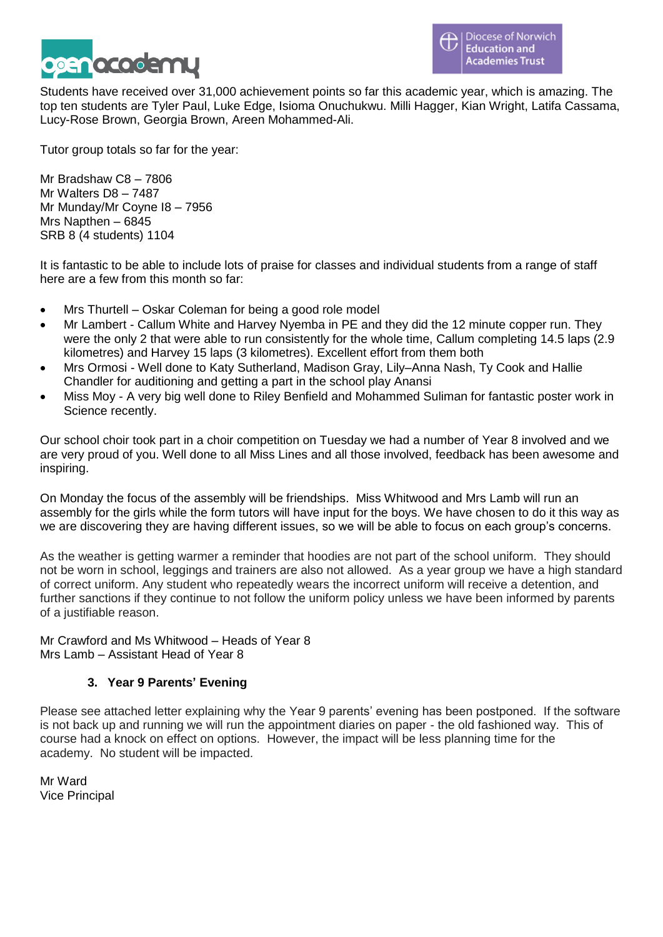

Students have received over 31,000 achievement points so far this academic year, which is amazing. The top ten students are Tyler Paul, Luke Edge, Isioma Onuchukwu. Milli Hagger, Kian Wright, Latifa Cassama, Lucy-Rose Brown, Georgia Brown, Areen Mohammed-Ali.

Tutor group totals so far for the year:

Mr Bradshaw C8 – 7806 Mr Walters D8 – 7487 Mr Munday/Mr Coyne I8 – 7956 Mrs Napthen – 6845 SRB 8 (4 students) 1104

It is fantastic to be able to include lots of praise for classes and individual students from a range of staff here are a few from this month so far:

- Mrs Thurtell Oskar Coleman for being a good role model
- Mr Lambert Callum White and Harvey Nyemba in PE and they did the 12 minute copper run. They were the only 2 that were able to run consistently for the whole time, Callum completing 14.5 laps (2.9 kilometres) and Harvey 15 laps (3 kilometres). Excellent effort from them both
- Mrs Ormosi Well done to Katy Sutherland, Madison Gray, Lily–Anna Nash, Ty Cook and Hallie Chandler for auditioning and getting a part in the school play Anansi
- Miss Moy A very big well done to Riley Benfield and Mohammed Suliman for fantastic poster work in Science recently.

Our school choir took part in a choir competition on Tuesday we had a number of Year 8 involved and we are very proud of you. Well done to all Miss Lines and all those involved, feedback has been awesome and inspiring.

On Monday the focus of the assembly will be friendships. Miss Whitwood and Mrs Lamb will run an assembly for the girls while the form tutors will have input for the boys. We have chosen to do it this way as we are discovering they are having different issues, so we will be able to focus on each group's concerns.

As the weather is getting warmer a reminder that hoodies are not part of the school uniform. They should not be worn in school, leggings and trainers are also not allowed. As a year group we have a high standard of correct uniform. Any student who repeatedly wears the incorrect uniform will receive a detention, and further sanctions if they continue to not follow the uniform policy unless we have been informed by parents of a justifiable reason.

Mr Crawford and Ms Whitwood – Heads of Year 8 Mrs Lamb – Assistant Head of Year 8

# **3. Year 9 Parents' Evening**

Please see attached letter explaining why the Year 9 parents' evening has been postponed. If the software is not back up and running we will run the appointment diaries on paper - the old fashioned way. This of course had a knock on effect on options. However, the impact will be less planning time for the academy. No student will be impacted.

Mr Ward Vice Principal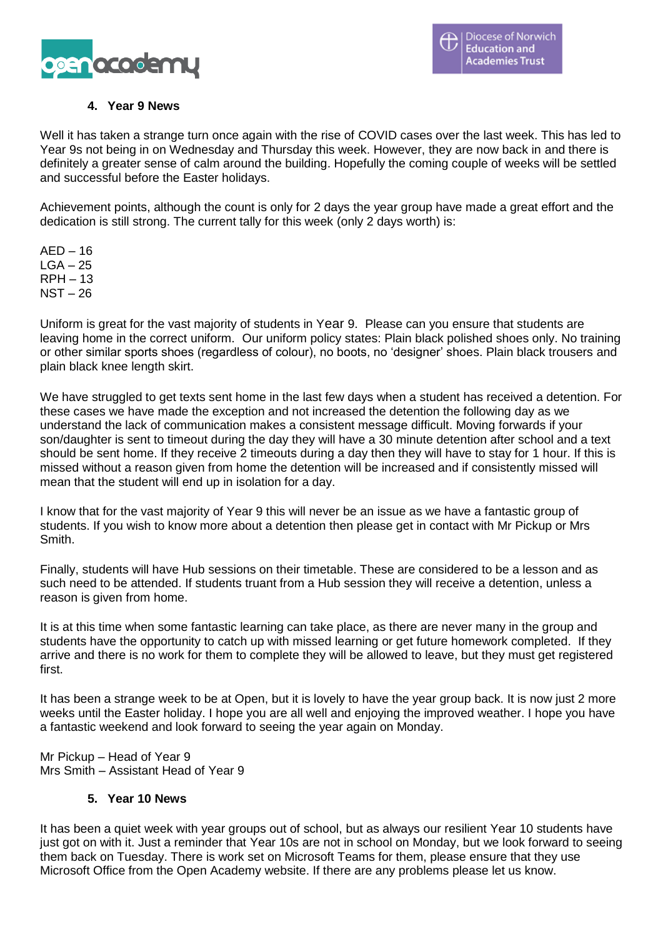

# **4. Year 9 News**

Well it has taken a strange turn once again with the rise of COVID cases over the last week. This has led to Year 9s not being in on Wednesday and Thursday this week. However, they are now back in and there is definitely a greater sense of calm around the building. Hopefully the coming couple of weeks will be settled and successful before the Easter holidays.

Achievement points, although the count is only for 2 days the year group have made a great effort and the dedication is still strong. The current tally for this week (only 2 days worth) is:

 $AFD - 16$  $LGA - 25$ RPH – 13 NST – 26

Uniform is great for the vast majority of students in Year 9. Please can you ensure that students are leaving home in the correct uniform. Our uniform policy states: Plain black polished shoes only. No training or other similar sports shoes (regardless of colour), no boots, no 'designer' shoes. Plain black trousers and plain black knee length skirt.

We have struggled to get texts sent home in the last few days when a student has received a detention. For these cases we have made the exception and not increased the detention the following day as we understand the lack of communication makes a consistent message difficult. Moving forwards if your son/daughter is sent to timeout during the day they will have a 30 minute detention after school and a text should be sent home. If they receive 2 timeouts during a day then they will have to stay for 1 hour. If this is missed without a reason given from home the detention will be increased and if consistently missed will mean that the student will end up in isolation for a day.

I know that for the vast majority of Year 9 this will never be an issue as we have a fantastic group of students. If you wish to know more about a detention then please get in contact with Mr Pickup or Mrs Smith.

Finally, students will have Hub sessions on their timetable. These are considered to be a lesson and as such need to be attended. If students truant from a Hub session they will receive a detention, unless a reason is given from home.

It is at this time when some fantastic learning can take place, as there are never many in the group and students have the opportunity to catch up with missed learning or get future homework completed. If they arrive and there is no work for them to complete they will be allowed to leave, but they must get registered first.

It has been a strange week to be at Open, but it is lovely to have the year group back. It is now just 2 more weeks until the Easter holiday. I hope you are all well and enjoying the improved weather. I hope you have a fantastic weekend and look forward to seeing the year again on Monday.

Mr Pickup – Head of Year 9 Mrs Smith – Assistant Head of Year 9

### **5. Year 10 News**

It has been a quiet week with year groups out of school, but as always our resilient Year 10 students have just got on with it. Just a reminder that Year 10s are not in school on Monday, but we look forward to seeing them back on Tuesday. There is work set on Microsoft Teams for them, please ensure that they use Microsoft Office from the Open Academy website. If there are any problems please let us know.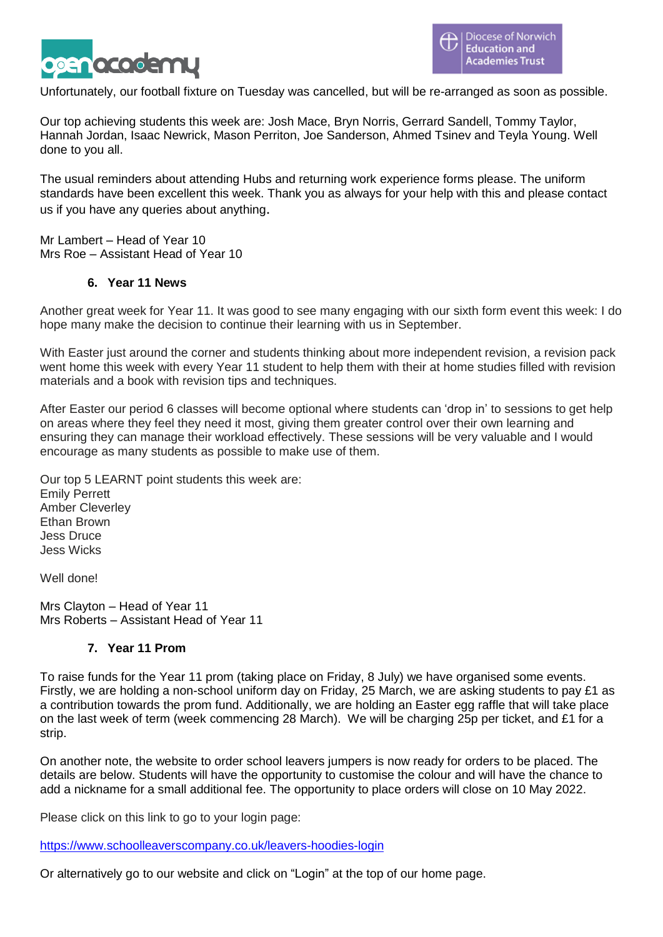

Unfortunately, our football fixture on Tuesday was cancelled, but will be re-arranged as soon as possible.

Our top achieving students this week are: Josh Mace, Bryn Norris, Gerrard Sandell, Tommy Taylor, Hannah Jordan, Isaac Newrick, Mason Perriton, Joe Sanderson, Ahmed Tsinev and Teyla Young. Well done to you all.

The usual reminders about attending Hubs and returning work experience forms please. The uniform standards have been excellent this week. Thank you as always for your help with this and please contact us if you have any queries about anything.

Mr Lambert – Head of Year 10 Mrs Roe – Assistant Head of Year 10

#### **6. Year 11 News**

Another great week for Year 11. It was good to see many engaging with our sixth form event this week: I do hope many make the decision to continue their learning with us in September.

With Easter just around the corner and students thinking about more independent revision, a revision pack went home this week with every Year 11 student to help them with their at home studies filled with revision materials and a book with revision tips and techniques.

After Easter our period 6 classes will become optional where students can 'drop in' to sessions to get help on areas where they feel they need it most, giving them greater control over their own learning and ensuring they can manage their workload effectively. These sessions will be very valuable and I would encourage as many students as possible to make use of them.

Our top 5 LEARNT point students this week are: Emily Perrett Amber Cleverley Ethan Brown Jess Druce Jess Wicks

Well done!

Mrs Clayton – Head of Year 11 Mrs Roberts – Assistant Head of Year 11

### **7. Year 11 Prom**

To raise funds for the Year 11 prom (taking place on Friday, 8 July) we have organised some events. Firstly, we are holding a non-school uniform day on Friday, 25 March, we are asking students to pay £1 as a contribution towards the prom fund. Additionally, we are holding an Easter egg raffle that will take place on the last week of term (week commencing 28 March). We will be charging 25p per ticket, and £1 for a strip.

On another note, the website to order school leavers jumpers is now ready for orders to be placed. The details are below. Students will have the opportunity to customise the colour and will have the chance to add a nickname for a small additional fee. The opportunity to place orders will close on 10 May 2022.

Please click on this link to go to your login page:

<https://www.schoolleaverscompany.co.uk/leavers-hoodies-login>

Or alternatively go to our website and click on "Login" at the top of our home page.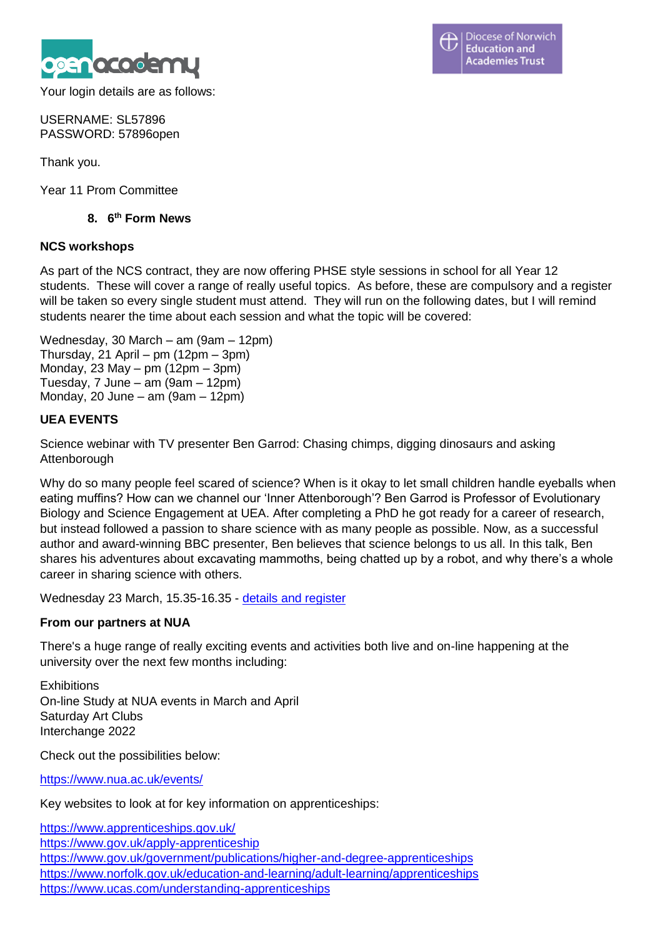

Diocese of Norwich ᠊ **Education and Academies Trust** 

Your login details are as follows:

USERNAME: SL57896 PASSWORD: 57896open

Thank you.

Year 11 Prom Committee

# **8. 6 th Form News**

### **NCS workshops**

As part of the NCS contract, they are now offering PHSE style sessions in school for all Year 12 students. These will cover a range of really useful topics. As before, these are compulsory and a register will be taken so every single student must attend. They will run on the following dates, but I will remind students nearer the time about each session and what the topic will be covered:

Wednesday, 30 March – am (9am – 12pm) Thursday, 21 April – pm (12pm – 3pm) Monday, 23 May – pm (12pm – 3pm) Tuesday, 7 June – am (9am – 12pm) Monday, 20 June – am (9am – 12pm)

# **UEA EVENTS**

Science webinar with TV presenter Ben Garrod: Chasing chimps, digging dinosaurs and asking **Attenborough** 

Why do so many people feel scared of science? When is it okay to let small children handle eyeballs when eating muffins? How can we channel our 'Inner Attenborough'? Ben Garrod is Professor of Evolutionary Biology and Science Engagement at UEA. After completing a PhD he got ready for a career of research, but instead followed a passion to share science with as many people as possible. Now, as a successful author and award-winning BBC presenter, Ben believes that science belongs to us all. In this talk, Ben shares his adventures about excavating mammoths, being chatted up by a robot, and why there's a whole career in sharing science with others.

Wednesday 23 March, 15.35-16.35 - [details and register](https://www.norfolk.gov.uk/sitecore%20modules/Web/EXM/RedirectUrlPage.aspx?ec_eq=dHH1S5Ka0AM3fx9i6pHXupu61i4wynq3FceHf3devoKZj5crCaZ7X5oCnStdORa4WhdPi5rELbT%2fNJgTxJw%2feo31Ouc7OLjftw6Pq5hbCeEObo2Ol%2bPfot0FxLk8amkcZypFY6SUPqpuSiWahGDPHTdWosvneE9kqTKdhaBXvBLaZ1BYUu0pZyBFkXoEJNTvQP3CD7T7BDvv3MmwkyY1svByoAkbpxIf9u1oj%2bpy9c17J4hxszgdAYsGd2WR9UQdQPgEvo7CCz1MZ5ECjOU6%2fmDDJBtukG8itBfrNAXU%2fqCBqkfnmvxkhvF05pI7pyZpJqskw%2fioUCPlJHP%2fxUE%2fbTj4bgS5Xk50jjYvLnBnKC1r26OHxTPnpTSB6i9TtC6pmGm7Yk7mCD2DC65IQiIA6AcAvLRbqbkMYpND6fPrs3%2fWI8wigNIK5wzpJmWShbqOMdFJdofXXt7yGhC0n14a3%2fGRgjKRcGnoLs%2f2nQ2iZ%2fGLy2GGK%2fRPq98rLZBmUfy41YVque4d25%2bZesJC6P0GCgZ4atvYIetxIGlF%2bmhSB829WszfX3udIF%2b%2fDy4xGvDEdpd8nQlIns4pebKRB%2bBjHiZ7M27T1TCmVnq1r2FjnVWkC11Ve%2fvEcag6zOijPu3TTNdlxIX8tmUFTWB5mf4Eas%2b25yv8xf4qiT%2b8qbhZTdjjnh%2fdm%2b2iMiHFaIVjFaWB8mT5ShQ98skzItd2jQbIHwDR72dNg8XDhgmhFsAFJm5Jb9KIy4n6jZkSVmalLmAsHEo%2b5NtfEYlBlAb45yr4XIIweaT0sDkAWgjfMCQfN8NKdNkafzSdEPsTlCO2A36wC5yYVggkZoerNWtsoMCRwda2naqD6R3cD9%2f8EodtbYw6AYX1rICiNeknI4Ne18ywUV%2fxk02lMGrZp7%2bwOdruiAR1NzB5fFPX2uSmH%2ffhyeF8Be8Mh3DZ88fuM8HU%2bbn1%2ftpubKbRGE%2fWrVNAyLpbbEnZzbSucnJSpp3Qd%2fwrX3boDl8ryD2FhUVeicEI6u6pAALsg7FOB3Loa36o7RE1s1TlHLIlLiu4PsddxMY9rfu08of4mofe5Kdwu2gaUn1sZflFzZh8h7KnyfZtAp11xr5YLtknRlreTKeHrMv7sEE%3d)

# **From our partners at NUA**

There's a huge range of really exciting events and activities both live and on-line happening at the university over the next few months including:

**Exhibitions** On-line Study at NUA events in March and April Saturday Art Clubs Interchange 2022

Check out the possibilities below:

<https://www.nua.ac.uk/events/>

Key websites to look at for key information on apprenticeships:

[https://www.apprenticeships.gov.uk/](https://www.norfolk.gov.uk/sitecore%20modules/Web/EXM/RedirectUrlPage.aspx?ec_eq=51xcSSxCmkE2XZYFt1wvsMtA0i0vs3gnjs9UaLoT73U8LMdviRUHLiJfekRVCAB37rooZYka%2fxgl49%2bLkWg9dmvOf6fXiz9cgPOw2W5PcLV7Yrcn9qw5DLfsxwnwvw4JDb9osu5%2bsyQ8R91pOnOdZFEMbp3%2b1zoMVbstrLekZ4vsrG2mzqZO4BNEK5A5JjTAI7nc6NQPN6OULqSgc6AaRpqhwO4PXp%2f9jq16M%2f9BOiJLwyUpmuYiTOUVA7nXMa%2fm2a0h6YiaZ%2ffTT2XVs5QB8RbX%2bOm6NlVBlcMGhu3M34geHi1B7aBrDBgw%2bwHR9l0VBaIB7l91%2bBaeo2G3rYJHPA%3d%3d)

<https://www.gov.uk/apply-apprenticeship>

<https://www.gov.uk/government/publications/higher-and-degree-apprenticeships> <https://www.norfolk.gov.uk/education-and-learning/adult-learning/apprenticeships> <https://www.ucas.com/understanding-apprenticeships>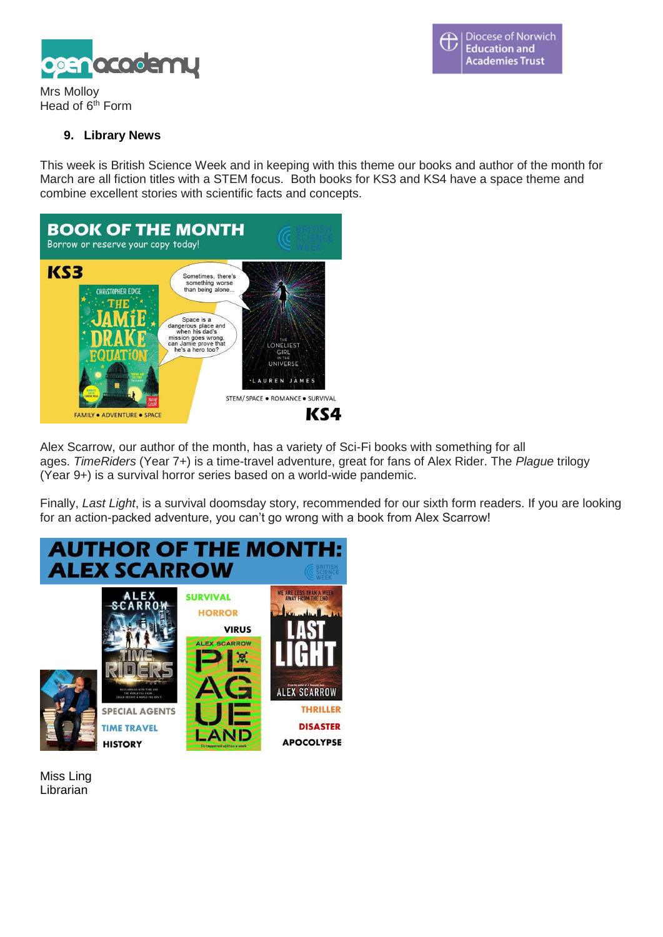**Diocese of Norwich** Ħ **Education and Academies Trust** 



Mrs Molloy Head of  $6<sup>th</sup>$  Form

### **9. Library News**

This week is British Science Week and in keeping with this theme our books and author of the month for March are all fiction titles with a STEM focus. Both books for KS3 and KS4 have a space theme and combine excellent stories with scientific facts and concepts.



Alex Scarrow, our author of the month, has a variety of Sci-Fi books with something for all ages. *TimeRiders* (Year 7+) is a time-travel adventure, great for fans of Alex Rider. The *Plague* trilogy (Year 9+) is a survival horror series based on a world-wide pandemic.

Finally, *Last Light*, is a survival doomsday story, recommended for our sixth form readers. If you are looking for an action-packed adventure, you can't go wrong with a book from Alex Scarrow!



Miss Ling Librarian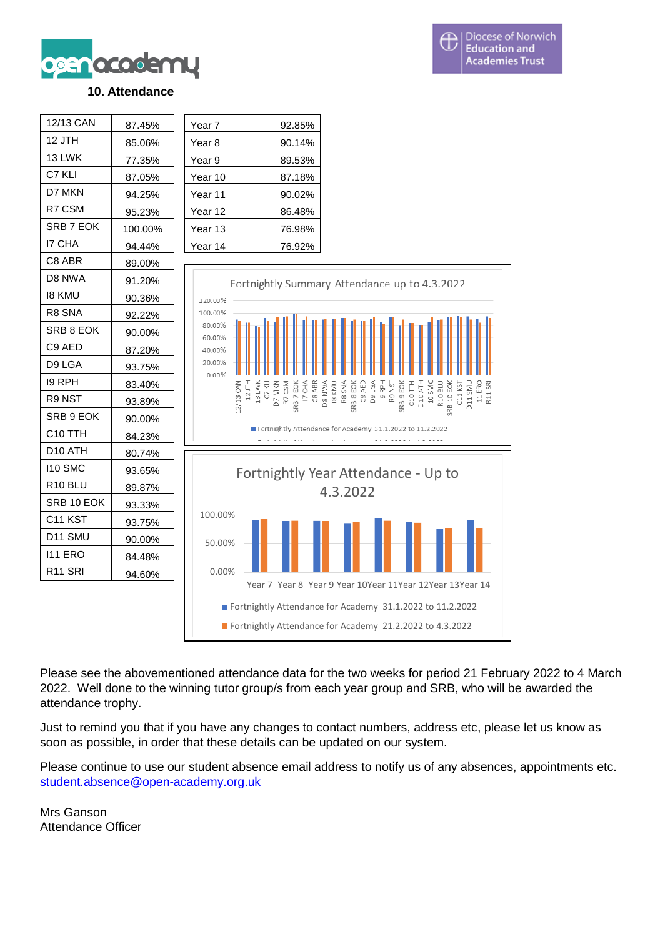

### **10. Attendance**



Please see the abovementioned attendance data for the two weeks for period 21 February 2022 to 4 March 2022. Well done to the winning tutor group/s from each year group and SRB, who will be awarded the attendance trophy.

Just to remind you that if you have any changes to contact numbers, address etc, please let us know as soon as possible, in order that these details can be updated on our system.

Please continue to use our student absence email address to notify us of any absences, appointments etc. [student.absence@open-academy.org.uk](mailto:student.absence@open-academy.org.uk)

Mrs Ganson Attendance Officer